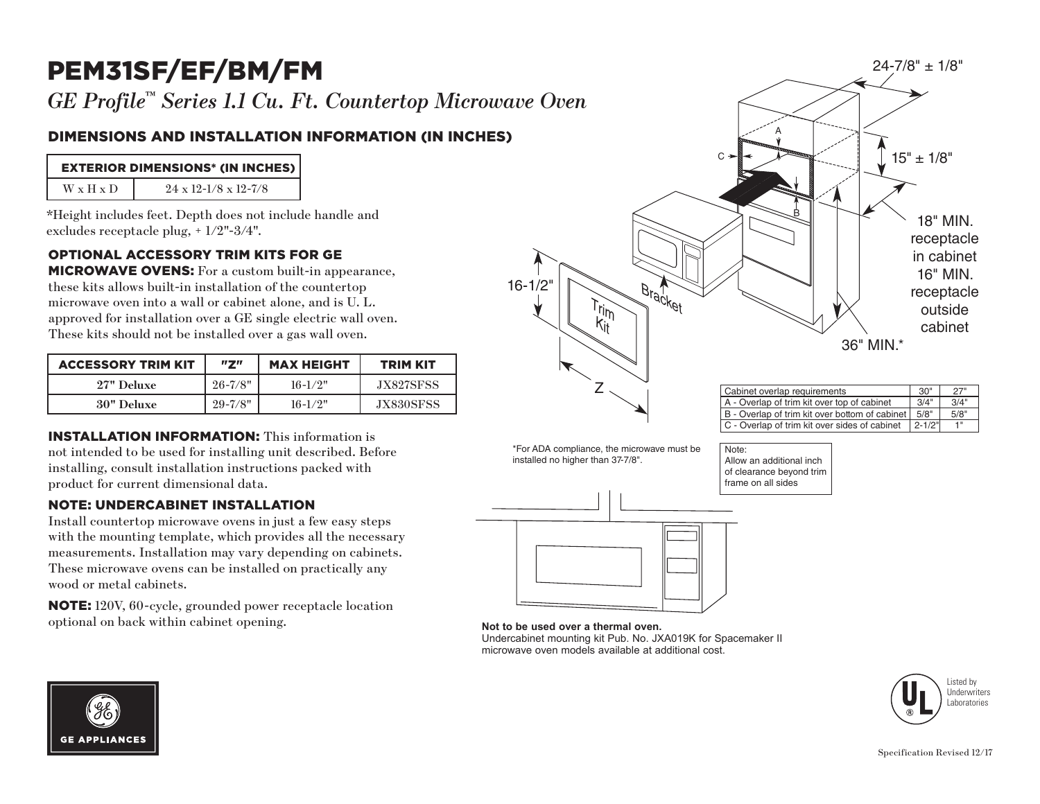# PEM31SF/EF/BM/FM

*GE Profile™ Series 1.1 Cu. Ft. Countertop Microwave Oven*

### DIMENSIONS AND INSTALLATION INFORMATION (IN INCHES)

| <b>EXTERIOR DIMENSIONS* (IN INCHES)</b> |                                      |  |
|-----------------------------------------|--------------------------------------|--|
| <b>W</b> x <b>H</b> x <b>D</b>          | $24 \times 12 - 1/8 \times 12 - 7/8$ |  |

\*Height includes feet. Depth does not include handle and excludes receptacle plug, + 1/2"-3/4".

#### OPTIONAL ACCESSORY TRIM KITS FOR GE

**MICROWAVE OVENS:** For a custom built-in appearance, these kits allows built-in installation of the countertop microwave oven into a wall or cabinet alone, and is U. L. approved for installation over a GE single electric wall oven. These kits should not be installed over a gas wall oven.

| <b>ACCESSORY TRIM KIT</b> | "7"         | <b>MAX HEIGHT</b> | <b>TRIM KIT</b> |  |
|---------------------------|-------------|-------------------|-----------------|--|
| 27" Deluxe                | $26 - 7/8"$ | $16 - 1/2"$       | JX827SFSS       |  |
| <b>30"</b> Deluxe         | $29 - 7/8"$ | $16-1/2"$         | JX830SFSS       |  |

#### INSTALLATION INFORMATION: This information is

not intended to be used for installing unit described. Before installing, consult installation instructions packed with product for current dimensional data.

#### NOTE: UNDERCABINET INSTALLATION

Install countertop microwave ovens in just a few easy steps with the mounting template, which provides all the necessary measurements. Installation may vary depending on cabinets. These microwave ovens can be installed on practically any wood or metal cabinets.

NOTE: 120V, 60-cycle, grounded power receptacle location optional on back within cabinet opening.



| Cabinet overlap requirements                   |            | 27"  |
|------------------------------------------------|------------|------|
| A - Overlap of trim kit over top of cabinet    | 3/4"       | 3/4" |
| B - Overlap of trim kit over bottom of cabinet | 5/8"       | 5/8" |
| C - Overlap of trim kit over sides of cabinet  | $2 - 1/2"$ | 1"   |

\*For ADA compliance, the microwave must be installed no higher than 37-7/8".

Note: Allow an additional inch of clearance beyond trim frame on all sides



## **Not to be used over a thermal oven.**

Undercabinet mounting kit Pub. No. JXA019K for Spacemaker II microwave oven models available at additional cost.